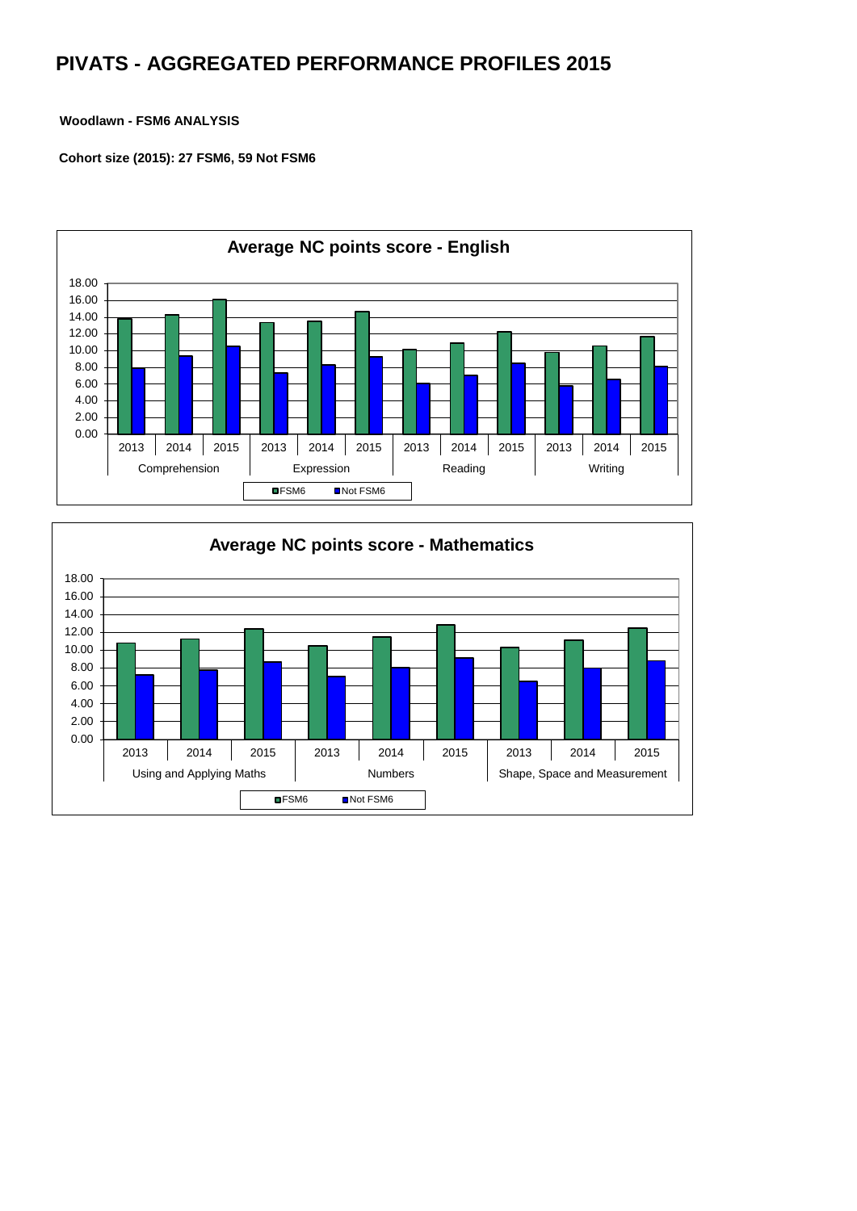## **PIVATS - AGGREGATED PERFORMANCE PROFILES 2015**

## **Woodlawn - FSM6 ANALYSIS**

 **Cohort size (2015): 27 FSM6, 59 Not FSM6**